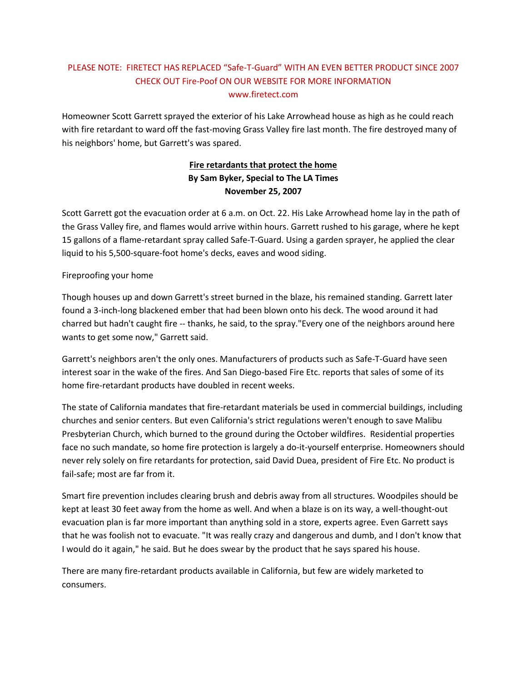## PLEASE NOTE: FIRETECT HAS REPLACED "Safe-T-Guard" WITH AN EVEN BETTER PRODUCT SINCE 2007 CHECK OUT Fire-Poof ON OUR WEBSITE FOR MORE INFORMATION www.firetect.com

Homeowner Scott Garrett sprayed the exterior of his Lake Arrowhead house as high as he could reach with fire retardant to ward off the fast-moving Grass Valley fire last month. The fire destroyed many of his neighbors' home, but Garrett's was spared.

## **Fire retardants that protect the home By Sam Byker, Special to The LA Times November 25, 2007**

Scott Garrett got the evacuation order at 6 a.m. on Oct. 22. His Lake Arrowhead home lay in the path of the Grass Valley fire, and flames would arrive within hours. Garrett rushed to his garage, where he kept 15 gallons of a flame-retardant spray called Safe-T-Guard. Using a garden sprayer, he applied the clear liquid to his 5,500-square-foot home's decks, eaves and wood siding.

## Fireproofing your home

Though houses up and down Garrett's street burned in the blaze, his remained standing. Garrett later found a 3-inch-long blackened ember that had been blown onto his deck. The wood around it had charred but hadn't caught fire -- thanks, he said, to the spray."Every one of the neighbors around here wants to get some now," Garrett said.

Garrett's neighbors aren't the only ones. Manufacturers of products such as Safe-T-Guard have seen interest soar in the wake of the fires. And San Diego-based Fire Etc. reports that sales of some of its home fire-retardant products have doubled in recent weeks.

The state of California mandates that fire-retardant materials be used in commercial buildings, including churches and senior centers. But even California's strict regulations weren't enough to save Malibu Presbyterian Church, which burned to the ground during the October wildfires. Residential properties face no such mandate, so home fire protection is largely a do-it-yourself enterprise. Homeowners should never rely solely on fire retardants for protection, said David Duea, president of Fire Etc. No product is fail-safe; most are far from it.

Smart fire prevention includes clearing brush and debris away from all structures. Woodpiles should be kept at least 30 feet away from the home as well. And when a blaze is on its way, a well-thought-out evacuation plan is far more important than anything sold in a store, experts agree. Even Garrett says that he was foolish not to evacuate. "It was really crazy and dangerous and dumb, and I don't know that I would do it again," he said. But he does swear by the product that he says spared his house.

There are many fire-retardant products available in California, but few are widely marketed to consumers.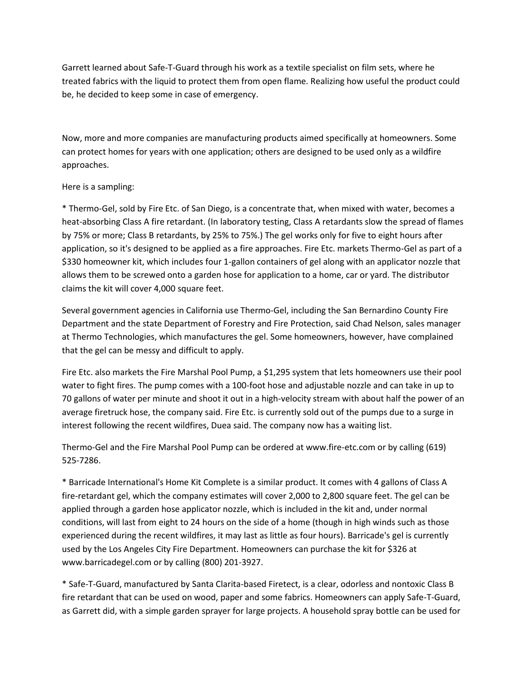Garrett learned about Safe-T-Guard through his work as a textile specialist on film sets, where he treated fabrics with the liquid to protect them from open flame. Realizing how useful the product could be, he decided to keep some in case of emergency.

Now, more and more companies are manufacturing products aimed specifically at homeowners. Some can protect homes for years with one application; others are designed to be used only as a wildfire approaches.

## Here is a sampling:

\* Thermo-Gel, sold by Fire Etc. of San Diego, is a concentrate that, when mixed with water, becomes a heat-absorbing Class A fire retardant. (In laboratory testing, Class A retardants slow the spread of flames by 75% or more; Class B retardants, by 25% to 75%.) The gel works only for five to eight hours after application, so it's designed to be applied as a fire approaches. Fire Etc. markets Thermo-Gel as part of a \$330 homeowner kit, which includes four 1-gallon containers of gel along with an applicator nozzle that allows them to be screwed onto a garden hose for application to a home, car or yard. The distributor claims the kit will cover 4,000 square feet.

Several government agencies in California use Thermo-Gel, including the San Bernardino County Fire Department and the state Department of Forestry and Fire Protection, said Chad Nelson, sales manager at Thermo Technologies, which manufactures the gel. Some homeowners, however, have complained that the gel can be messy and difficult to apply.

Fire Etc. also markets the Fire Marshal Pool Pump, a \$1,295 system that lets homeowners use their pool water to fight fires. The pump comes with a 100-foot hose and adjustable nozzle and can take in up to 70 gallons of water per minute and shoot it out in a high-velocity stream with about half the power of an average firetruck hose, the company said. Fire Etc. is currently sold out of the pumps due to a surge in interest following the recent wildfires, Duea said. The company now has a waiting list.

Thermo-Gel and the Fire Marshal Pool Pump can be ordered at www.fire-etc.com or by calling (619) 525-7286.

\* Barricade International's Home Kit Complete is a similar product. It comes with 4 gallons of Class A fire-retardant gel, which the company estimates will cover 2,000 to 2,800 square feet. The gel can be applied through a garden hose applicator nozzle, which is included in the kit and, under normal conditions, will last from eight to 24 hours on the side of a home (though in high winds such as those experienced during the recent wildfires, it may last as little as four hours). Barricade's gel is currently used by the Los Angeles City Fire Department. Homeowners can purchase the kit for \$326 at www.barricadegel.com or by calling (800) 201-3927.

\* Safe-T-Guard, manufactured by Santa Clarita-based Firetect, is a clear, odorless and nontoxic Class B fire retardant that can be used on wood, paper and some fabrics. Homeowners can apply Safe-T-Guard, as Garrett did, with a simple garden sprayer for large projects. A household spray bottle can be used for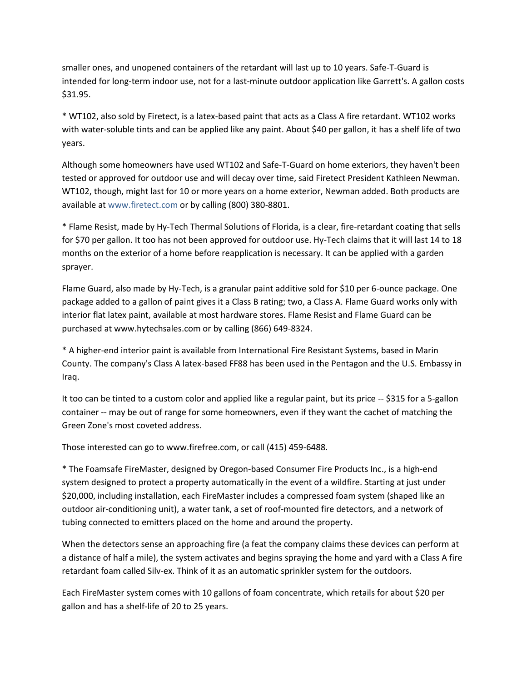smaller ones, and unopened containers of the retardant will last up to 10 years. Safe-T-Guard is intended for long-term indoor use, not for a last-minute outdoor application like Garrett's. A gallon costs \$31.95.

\* WT102, also sold by Firetect, is a latex-based paint that acts as a Class A fire retardant. WT102 works with water-soluble tints and can be applied like any paint. About \$40 per gallon, it has a shelf life of two years.

Although some homeowners have used WT102 and Safe-T-Guard on home exteriors, they haven't been tested or approved for outdoor use and will decay over time, said Firetect President Kathleen Newman. WT102, though, might last for 10 or more years on a home exterior, Newman added. Both products are available at www.firetect.com or by calling (800) 380-8801.

\* Flame Resist, made by Hy-Tech Thermal Solutions of Florida, is a clear, fire-retardant coating that sells for \$70 per gallon. It too has not been approved for outdoor use. Hy-Tech claims that it will last 14 to 18 months on the exterior of a home before reapplication is necessary. It can be applied with a garden sprayer.

Flame Guard, also made by Hy-Tech, is a granular paint additive sold for \$10 per 6-ounce package. One package added to a gallon of paint gives it a Class B rating; two, a Class A. Flame Guard works only with interior flat latex paint, available at most hardware stores. Flame Resist and Flame Guard can be purchased at www.hytechsales.com or by calling (866) 649-8324.

\* A higher-end interior paint is available from International Fire Resistant Systems, based in Marin County. The company's Class A latex-based FF88 has been used in the Pentagon and the U.S. Embassy in Iraq.

It too can be tinted to a custom color and applied like a regular paint, but its price -- \$315 for a 5-gallon container -- may be out of range for some homeowners, even if they want the cachet of matching the Green Zone's most coveted address.

Those interested can go to www.firefree.com, or call (415) 459-6488.

\* The Foamsafe FireMaster, designed by Oregon-based Consumer Fire Products Inc., is a high-end system designed to protect a property automatically in the event of a wildfire. Starting at just under \$20,000, including installation, each FireMaster includes a compressed foam system (shaped like an outdoor air-conditioning unit), a water tank, a set of roof-mounted fire detectors, and a network of tubing connected to emitters placed on the home and around the property.

When the detectors sense an approaching fire (a feat the company claims these devices can perform at a distance of half a mile), the system activates and begins spraying the home and yard with a Class A fire retardant foam called Silv-ex. Think of it as an automatic sprinkler system for the outdoors.

Each FireMaster system comes with 10 gallons of foam concentrate, which retails for about \$20 per gallon and has a shelf-life of 20 to 25 years.